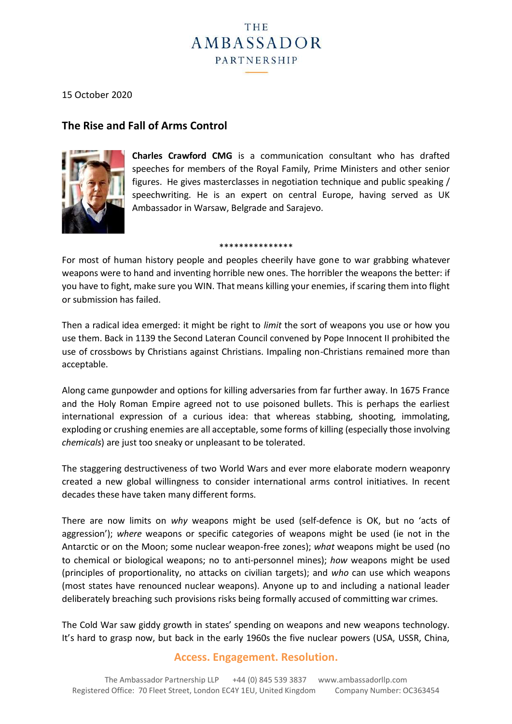# **THE** AMBASSADOR PARTNERSHIP

15 October 2020

# **The Rise and Fall of Arms Control**



**Charles Crawford CMG** is a communication consultant who has drafted speeches for members of the Royal Family, Prime Ministers and other senior figures. He gives masterclasses in negotiation technique and public speaking / speechwriting. He is an expert on central Europe, having served as UK Ambassador in Warsaw, Belgrade and Sarajevo.

\*\*\*\*\*\*\*\*\*\*\*\*\*\*\*

For most of human history people and peoples cheerily have gone to war grabbing whatever weapons were to hand and inventing horrible new ones. The horribler the weapons the better: if you have to fight, make sure you WIN. That means killing your enemies, if scaring them into flight or submission has failed.

Then a radical idea emerged: it might be right to *limit* the sort of weapons you use or how you use them. Back in 1139 the Second Lateran Council convened by Pope Innocent II prohibited the use of crossbows by Christians against Christians. Impaling non-Christians remained more than acceptable.

Along came gunpowder and options for killing adversaries from far further away. In 1675 France and the Holy Roman Empire agreed not to use poisoned bullets. This is perhaps the earliest international expression of a curious idea: that whereas stabbing, shooting, immolating, exploding or crushing enemies are all acceptable, some forms of killing (especially those involving *chemicals*) are just too sneaky or unpleasant to be tolerated.

The staggering destructiveness of two World Wars and ever more elaborate modern weaponry created a new global willingness to consider international arms control initiatives. In recent decades these have taken many different forms.

There are now limits on *why* weapons might be used (self-defence is OK, but no 'acts of aggression'); *where* weapons or specific categories of weapons might be used (ie not in the Antarctic or on the Moon; some nuclear weapon-free zones); *what* weapons might be used (no to chemical or biological weapons; no to anti-personnel mines); *how* weapons might be used (principles of proportionality, no attacks on civilian targets); and *who* can use which weapons (most states have renounced nuclear weapons). Anyone up to and including a national leader deliberately breaching such provisions risks being formally accused of committing war crimes.

The Cold War saw giddy growth in states' spending on weapons and new weapons technology. It's hard to grasp now, but back in the early 1960s the five nuclear powers (USA, USSR, China,

## **Access. Engagement. Resolution.**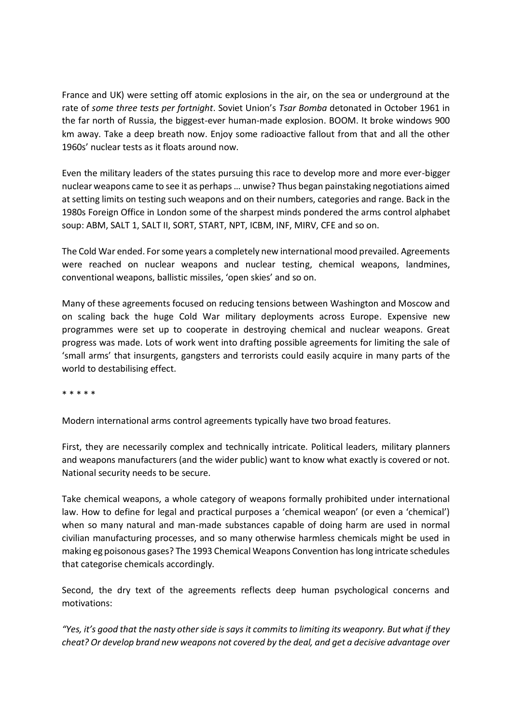France and UK) were setting off atomic explosions in the air, on the sea or underground at the rate of *some three tests per fortnight*. Soviet Union's *Tsar Bomba* detonated in October 1961 in the far north of Russia, the biggest-ever human-made explosion. BOOM. It broke windows 900 km away. Take a deep breath now. Enjoy some radioactive fallout from that and all the other 1960s' nuclear tests as it floats around now.

Even the military leaders of the states pursuing this race to develop more and more ever-bigger nuclear weapons came to see it as perhaps … unwise? Thus began painstaking negotiations aimed at setting limits on testing such weapons and on their numbers, categories and range. Back in the 1980s Foreign Office in London some of the sharpest minds pondered the arms control alphabet soup: ABM, SALT 1, SALT II, SORT, START, NPT, ICBM, INF, MIRV, CFE and so on.

The Cold War ended. For some years a completely new international mood prevailed. Agreements were reached on nuclear weapons and nuclear testing, chemical weapons, landmines, conventional weapons, ballistic missiles, 'open skies' and so on.

Many of these agreements focused on reducing tensions between Washington and Moscow and on scaling back the huge Cold War military deployments across Europe. Expensive new programmes were set up to cooperate in destroying chemical and nuclear weapons. Great progress was made. Lots of work went into drafting possible agreements for limiting the sale of 'small arms' that insurgents, gangsters and terrorists could easily acquire in many parts of the world to destabilising effect.

\* \* \* \* \*

Modern international arms control agreements typically have two broad features.

First, they are necessarily complex and technically intricate. Political leaders, military planners and weapons manufacturers (and the wider public) want to know what exactly is covered or not. National security needs to be secure.

Take chemical weapons, a whole category of weapons formally prohibited under international law. How to define for legal and practical purposes a 'chemical weapon' (or even a 'chemical') when so many natural and man-made substances capable of doing harm are used in normal civilian manufacturing processes, and so many otherwise harmless chemicals might be used in making eg poisonous gases? The 1993 Chemical Weapons Convention has long intricate schedules that categorise chemicals accordingly.

Second, the dry text of the agreements reflects deep human psychological concerns and motivations:

*"Yes, it's good that the nasty other side is says it commits to limiting its weaponry. But what if they cheat? Or develop brand new weapons not covered by the deal, and get a decisive advantage over*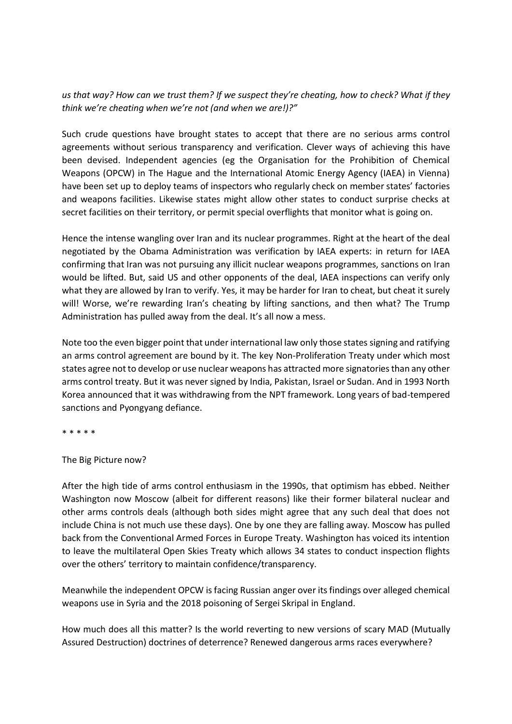### *us that way? How can we trust them? If we suspect they're cheating, how to check? What if they think we're cheating when we're not (and when we are!)?"*

Such crude questions have brought states to accept that there are no serious arms control agreements without serious transparency and verification. Clever ways of achieving this have been devised. Independent agencies (eg the Organisation for the Prohibition of Chemical Weapons (OPCW) in The Hague and the International Atomic Energy Agency (IAEA) in Vienna) have been set up to deploy teams of inspectors who regularly check on member states' factories and weapons facilities. Likewise states might allow other states to conduct surprise checks at secret facilities on their territory, or permit special overflights that monitor what is going on.

Hence the intense wangling over Iran and its nuclear programmes. Right at the heart of the deal negotiated by the Obama Administration was verification by IAEA experts: in return for IAEA confirming that Iran was not pursuing any illicit nuclear weapons programmes, sanctions on Iran would be lifted. But, said US and other opponents of the deal, IAEA inspections can verify only what they are allowed by Iran to verify. Yes, it may be harder for Iran to cheat, but cheat it surely will! Worse, we're rewarding Iran's cheating by lifting sanctions, and then what? The Trump Administration has pulled away from the deal. It's all now a mess.

Note too the even bigger point that under international law only those states signing and ratifying an arms control agreement are bound by it. The key Non-Proliferation Treaty under which most states agree not to develop or use nuclear weapons has attracted more signatories than any other arms control treaty. But it was never signed by India, Pakistan, Israel or Sudan. And in 1993 North Korea announced that it was withdrawing from the NPT framework. Long years of bad-tempered sanctions and Pyongyang defiance.

\* \* \* \* \*

#### The Big Picture now?

After the high tide of arms control enthusiasm in the 1990s, that optimism has ebbed. Neither Washington now Moscow (albeit for different reasons) like their former bilateral nuclear and other arms controls deals (although both sides might agree that any such deal that does not include China is not much use these days). One by one they are falling away. Moscow has pulled back from the Conventional Armed Forces in Europe Treaty. Washington has voiced its intention to leave the multilateral Open Skies Treaty which allows 34 states to conduct inspection flights over the others' territory to maintain confidence/transparency.

Meanwhile the independent OPCW is facing Russian anger over its findings over alleged chemical weapons use in Syria and the 2018 poisoning of Sergei Skripal in England.

How much does all this matter? Is the world reverting to new versions of scary MAD (Mutually Assured Destruction) doctrines of deterrence? Renewed dangerous arms races everywhere?